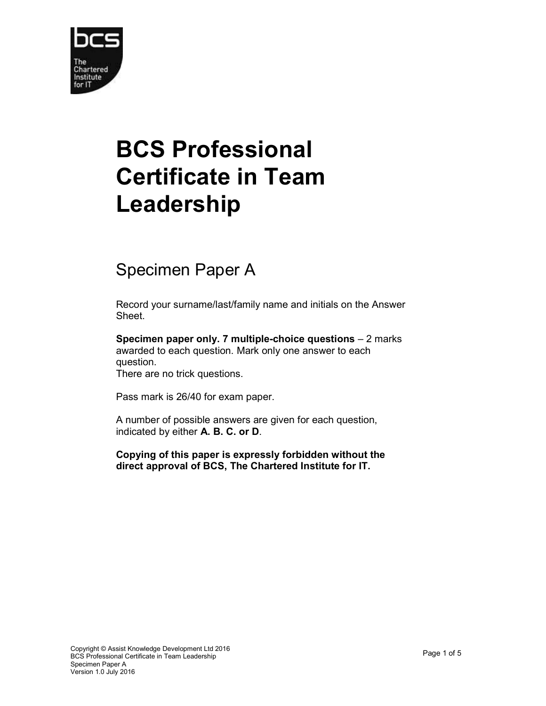

## BCS Professional Certificate in Team Leadership

## Specimen Paper A

Record your surname/last/family name and initials on the Answer Sheet.

Specimen paper only. 7 multiple-choice questions – 2 marks awarded to each question. Mark only one answer to each question.

There are no trick questions.

Pass mark is 26/40 for exam paper.

A number of possible answers are given for each question, indicated by either A. B. C. or D.

Copying of this paper is expressly forbidden without the direct approval of BCS, The Chartered Institute for IT.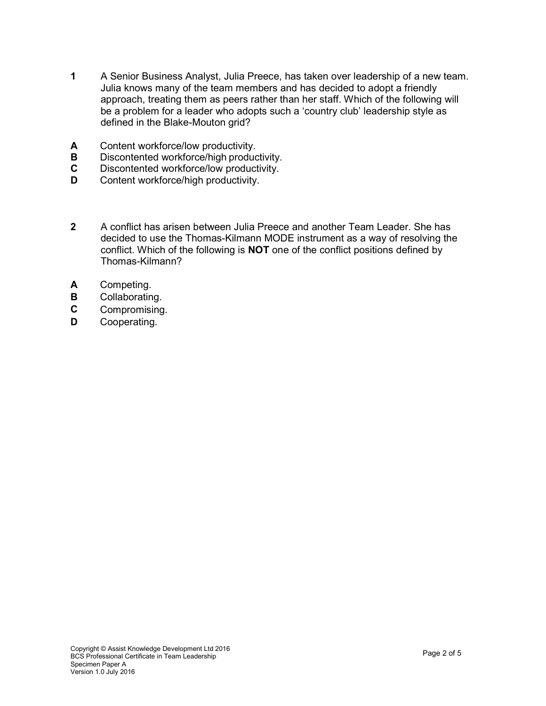- 1 A Senior Business Analyst, Julia Preece, has taken over leadership of a new team. Julia knows many of the team members and has decided to adopt a friendly approach, treating them as peers rather than her staff. Which of the following will be a problem for a leader who adopts such a 'country club' leadership style as defined in the Blake-Mouton grid?
- **A** Content workforce/low productivity.<br>**B** Discontented workforce/high produc
- Discontented workforce/high productivity.
- C Discontented workforce/low productivity.
- **D** Content workforce/high productivity.
- 2 A conflict has arisen between Julia Preece and another Team Leader. She has decided to use the Thomas-Kilmann MODE instrument as a way of resolving the conflict. Which of the following is NOT one of the conflict positions defined by Thomas-Kilmann?
- A Competing.
- **B** Collaborating.
- C Compromising.
- D Cooperating.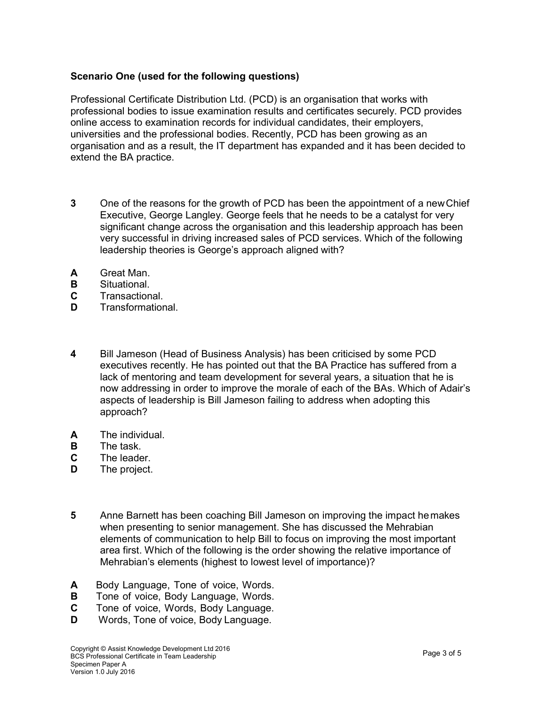## Scenario One (used for the following questions)

Professional Certificate Distribution Ltd. (PCD) is an organisation that works with professional bodies to issue examination results and certificates securely. PCD provides online access to examination records for individual candidates, their employers, universities and the professional bodies. Recently, PCD has been growing as an organisation and as a result, the IT department has expanded and it has been decided to extend the BA practice.

- 3 One of the reasons for the growth of PCD has been the appointment of a new Chief Executive, George Langley. George feels that he needs to be a catalyst for very significant change across the organisation and this leadership approach has been very successful in driving increased sales of PCD services. Which of the following leadership theories is George's approach aligned with?
- A Great Man.
- B Situational.
- C Transactional.
- D Transformational
- 4 Bill Jameson (Head of Business Analysis) has been criticised by some PCD executives recently. He has pointed out that the BA Practice has suffered from a lack of mentoring and team development for several years, a situation that he is now addressing in order to improve the morale of each of the BAs. Which of Adair's aspects of leadership is Bill Jameson failing to address when adopting this approach?
- A The individual.
- **B** The task.
- C The leader.
- **D** The project.
- 5 Anne Barnett has been coaching Bill Jameson on improving the impact he makes when presenting to senior management. She has discussed the Mehrabian elements of communication to help Bill to focus on improving the most important area first. Which of the following is the order showing the relative importance of Mehrabian's elements (highest to lowest level of importance)?
- A Body Language, Tone of voice, Words.
- **B** Tone of voice, Body Language, Words.
- C Tone of voice, Words, Body Language.
- **D** Words, Tone of voice, Body Language.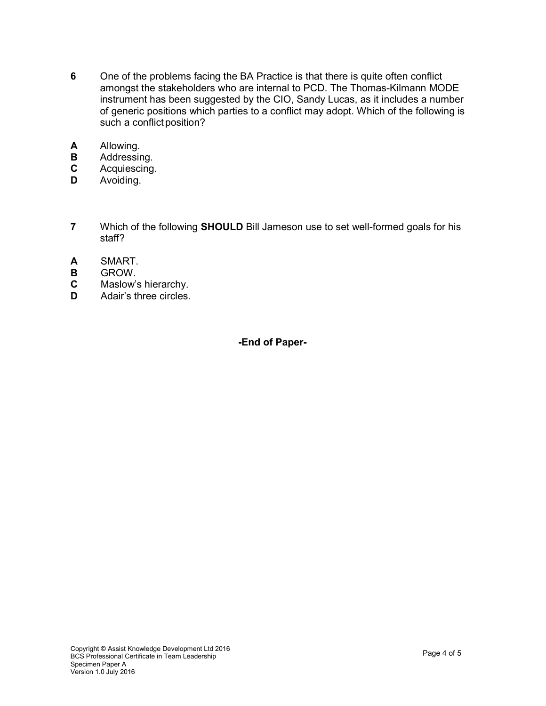- 6 One of the problems facing the BA Practice is that there is quite often conflict amongst the stakeholders who are internal to PCD. The Thomas-Kilmann MODE instrument has been suggested by the CIO, Sandy Lucas, as it includes a number of generic positions which parties to a conflict may adopt. Which of the following is such a conflict position?
- **A** Allowing.<br>**B** Addressin
- **B** Addressing.<br>**C** Acquiescing
- Acquiescing.
- **D** Avoiding.
- 7 Which of the following **SHOULD** Bill Jameson use to set well-formed goals for his staff?
- A SMART.
- B GROW.
- C Maslow's hierarchy.
- D Adair's three circles.

-End of Paper-